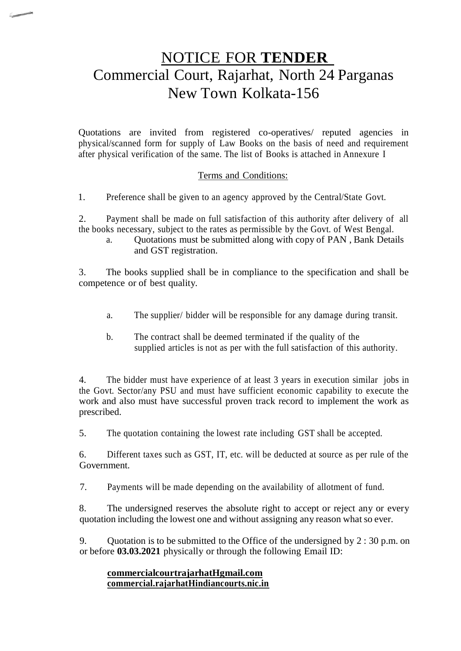# NOTICE FOR **TENDER** Commercial Court, Rajarhat, North 24 Parganas New Town Kolkata-156

Quotations are invited from registered co-operatives/ reputed agencies in physical/scanned form for supply of Law Books on the basis of need and requirement after physical verification of the same. The list of Books is attached in Annexure I

### Terms and Conditions:

1. Preference shall be given to an agency approved by the Central/State Govt.

2. Payment shall be made on full satisfaction of this authority after delivery of all the books necessary, subject to the rates as permissible by the Govt. of West Bengal.

a. Quotations must be submitted along with copy of PAN , Bank Details and GST registration.

3. The books supplied shall be in compliance to the specification and shall be competence or of best quality.

- a. The supplier/ bidder will be responsible for any damage during transit.
- b. The contract shall be deemed terminated if the quality of the supplied articles is not as per with the full satisfaction of this authority.

4. The bidder must have experience of at least 3 years in execution similar jobs in the Govt. Sector/any PSU and must have sufficient economic capability to execute the work and also must have successful proven track record to implement the work as prescribed.

5. The quotation containing the lowest rate including GST shall be accepted.

6. Different taxes such as GST, IT, etc. will be deducted at source as per rule of the Government.

7. Payments will be made depending on the availability of allotment of fund.

8. The undersigned reserves the absolute right to accept or reject any or every quotation including the lowest one and without assigning any reason what so ever.

9. Quotation is to be submitted to the Office of the undersigned by 2 : 30 p.m. on or before **03.03.2021** physically or through the following Email ID:

#### **commercialcourtrajarhatHgmail.com commercial.rajarhatHindiancourts.nic.in**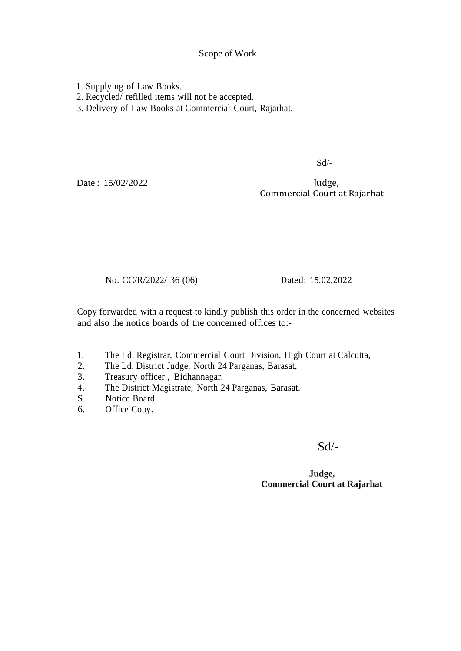#### Scope of Work

1. Supplying of Law Books.

2. Recycled/ refilled items will not be accepted.

3. Delivery of Law Books at Commercial Court, Rajarhat.

Sd/-

Date: 15/02/2022

Judge, Commercial Court at Rajarhat

No. CC/R/2022/ 36 (06)

Dated: 15.02.2022

Copy forwarded with a request to kindly publish this order in the concerned websites and also the notice boards of the concerned offices to:-

- 1. The Ld. Registrar, Commercial Court Division, High Court at Calcutta,
- 2. The Ld. District Judge, North 24 Parganas, Barasat, 3. Treasury officer . Bidhannagar.
- Treasury officer, Bidhannagar,
- 4. The District Magistrate, North 24 Parganas, Barasat.
- S. Notice Board.
- 6. Office Copy.

Sd/-

#### Judge, **Commercial Court at Rajarhat**